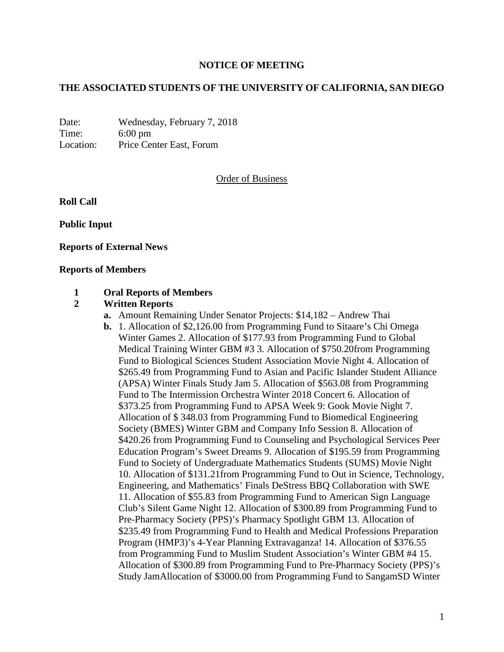# **NOTICE OF MEETING**

#### **THE ASSOCIATED STUDENTS OF THE UNIVERSITY OF CALIFORNIA, SAN DIEGO**

Date: Wednesday, February 7, 2018 Time: 6:00 pm Location: Price Center East, Forum

#### Order of Business

**Roll Call**

**Public Input**

**Reports of External News**

#### **Reports of Members**

#### **1 Oral Reports of Members**

#### **2 Written Reports**

- **a.** Amount Remaining Under Senator Projects: \$14,182 Andrew Thai
- **b.** 1. Allocation of \$2,126.00 from Programming Fund to Sitaare's Chi Omega Winter Games 2. Allocation of \$177.93 from Programming Fund to Global Medical Training Winter GBM #3 3. Allocation of \$750.20from Programming Fund to Biological Sciences Student Association Movie Night 4. Allocation of \$265.49 from Programming Fund to Asian and Pacific Islander Student Alliance (APSA) Winter Finals Study Jam 5. Allocation of \$563.08 from Programming Fund to The Intermission Orchestra Winter 2018 Concert 6. Allocation of \$373.25 from Programming Fund to APSA Week 9: Gook Movie Night 7. Allocation of \$ 348.03 from Programming Fund to Biomedical Engineering Society (BMES) Winter GBM and Company Info Session 8. Allocation of \$420.26 from Programming Fund to Counseling and Psychological Services Peer Education Program's Sweet Dreams 9. Allocation of \$195.59 from Programming Fund to Society of Undergraduate Mathematics Students (SUMS) Movie Night 10. Allocation of \$131.21from Programming Fund to Out in Science, Technology, Engineering, and Mathematics' Finals DeStress BBQ Collaboration with SWE 11. Allocation of \$55.83 from Programming Fund to American Sign Language Club's Silent Game Night 12. Allocation of \$300.89 from Programming Fund to Pre-Pharmacy Society (PPS)'s Pharmacy Spotlight GBM 13. Allocation of \$235.49 from Programming Fund to Health and Medical Professions Preparation Program (HMP3)'s 4-Year Planning Extravaganza! 14. Allocation of \$376.55 from Programming Fund to Muslim Student Association's Winter GBM #4 15. Allocation of \$300.89 from Programming Fund to Pre-Pharmacy Society (PPS)'s Study JamAllocation of \$3000.00 from Programming Fund to SangamSD Winter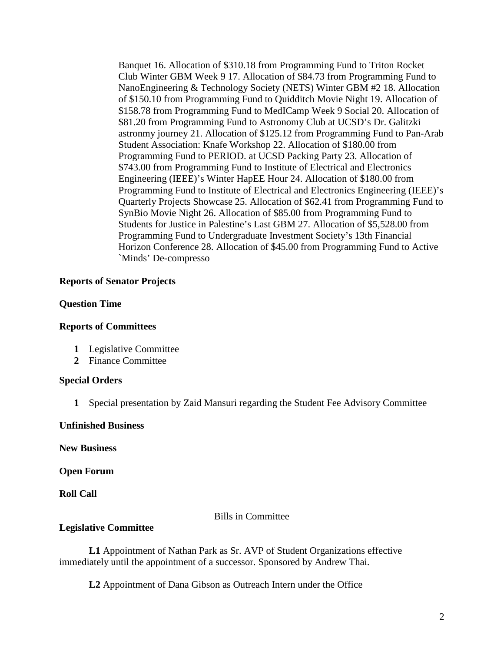Banquet 16. Allocation of \$310.18 from Programming Fund to Triton Rocket Club Winter GBM Week 9 17. Allocation of \$84.73 from Programming Fund to NanoEngineering & Technology Society (NETS) Winter GBM #2 18. Allocation of \$150.10 from Programming Fund to Quidditch Movie Night 19. Allocation of \$158.78 from Programming Fund to MedICamp Week 9 Social 20. Allocation of \$81.20 from Programming Fund to Astronomy Club at UCSD's Dr. Galitzki astronmy journey 21. Allocation of \$125.12 from Programming Fund to Pan-Arab Student Association: Knafe Workshop 22. Allocation of \$180.00 from Programming Fund to PERIOD. at UCSD Packing Party 23. Allocation of \$743.00 from Programming Fund to Institute of Electrical and Electronics Engineering (IEEE)'s Winter HapEE Hour 24. Allocation of \$180.00 from Programming Fund to Institute of Electrical and Electronics Engineering (IEEE)'s Quarterly Projects Showcase 25. Allocation of \$62.41 from Programming Fund to SynBio Movie Night 26. Allocation of \$85.00 from Programming Fund to Students for Justice in Palestine's Last GBM 27. Allocation of \$5,528.00 from Programming Fund to Undergraduate Investment Society's 13th Financial Horizon Conference 28. Allocation of \$45.00 from Programming Fund to Active `Minds' De-compresso

# **Reports of Senator Projects**

# **Question Time**

# **Reports of Committees**

- **1** Legislative Committee
- **2** Finance Committee

# **Special Orders**

**1** Special presentation by Zaid Mansuri regarding the Student Fee Advisory Committee

#### **Unfinished Business**

**New Business**

# **Open Forum**

**Roll Call**

#### Bills in Committee

# **Legislative Committee**

**L1** Appointment of Nathan Park as Sr. AVP of Student Organizations effective immediately until the appointment of a successor. Sponsored by Andrew Thai.

**L2** Appointment of Dana Gibson as Outreach Intern under the Office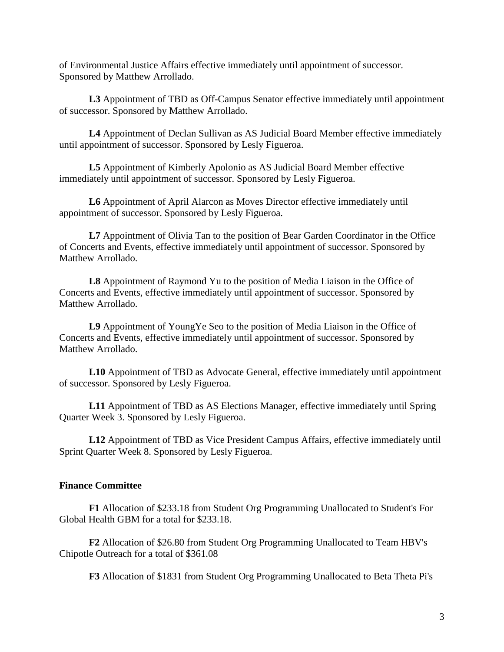of Environmental Justice Affairs effective immediately until appointment of successor. Sponsored by Matthew Arrollado.

**L3** Appointment of TBD as Off-Campus Senator effective immediately until appointment of successor. Sponsored by Matthew Arrollado.

**L4** Appointment of Declan Sullivan as AS Judicial Board Member effective immediately until appointment of successor. Sponsored by Lesly Figueroa.

**L5** Appointment of Kimberly Apolonio as AS Judicial Board Member effective immediately until appointment of successor. Sponsored by Lesly Figueroa.

**L6** Appointment of April Alarcon as Moves Director effective immediately until appointment of successor. Sponsored by Lesly Figueroa.

L7 Appointment of Olivia Tan to the position of Bear Garden Coordinator in the Office of Concerts and Events, effective immediately until appointment of successor. Sponsored by Matthew Arrollado.

**L8** Appointment of Raymond Yu to the position of Media Liaison in the Office of Concerts and Events, effective immediately until appointment of successor. Sponsored by Matthew Arrollado.

**L9** Appointment of YoungYe Seo to the position of Media Liaison in the Office of Concerts and Events, effective immediately until appointment of successor. Sponsored by Matthew Arrollado.

**L10** Appointment of TBD as Advocate General, effective immediately until appointment of successor. Sponsored by Lesly Figueroa.

**L11** Appointment of TBD as AS Elections Manager, effective immediately until Spring Quarter Week 3. Sponsored by Lesly Figueroa.

**L12** Appointment of TBD as Vice President Campus Affairs, effective immediately until Sprint Quarter Week 8. Sponsored by Lesly Figueroa.

# **Finance Committee**

**F1** Allocation of \$233.18 from Student Org Programming Unallocated to Student's For Global Health GBM for a total for \$233.18.

**F2** Allocation of \$26.80 from Student Org Programming Unallocated to Team HBV's Chipotle Outreach for a total of \$361.08

**F3** Allocation of \$1831 from Student Org Programming Unallocated to Beta Theta Pi's